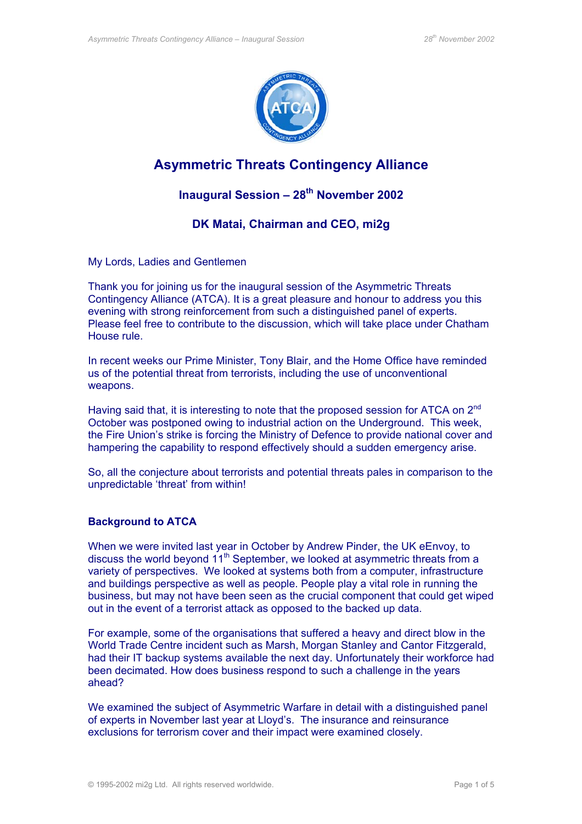

# **Asymmetric Threats Contingency Alliance**

# **Inaugural Session – 28th November 2002**

# **DK Matai, Chairman and CEO, mi2g**

My Lords, Ladies and Gentlemen

Thank you for joining us for the inaugural session of the Asymmetric Threats Contingency Alliance (ATCA). It is a great pleasure and honour to address you this evening with strong reinforcement from such a distinguished panel of experts. Please feel free to contribute to the discussion, which will take place under Chatham House rule.

In recent weeks our Prime Minister, Tony Blair, and the Home Office have reminded us of the potential threat from terrorists, including the use of unconventional weapons.

Having said that, it is interesting to note that the proposed session for ATCA on 2<sup>nd</sup> October was postponed owing to industrial action on the Underground. This week, the Fire Union's strike is forcing the Ministry of Defence to provide national cover and hampering the capability to respond effectively should a sudden emergency arise.

So, all the conjecture about terrorists and potential threats pales in comparison to the unpredictable 'threat' from within!

## **Background to ATCA**

When we were invited last year in October by Andrew Pinder, the UK eEnvoy, to discuss the world beyond 11<sup>th</sup> September, we looked at asymmetric threats from a variety of perspectives. We looked at systems both from a computer, infrastructure and buildings perspective as well as people. People play a vital role in running the business, but may not have been seen as the crucial component that could get wiped out in the event of a terrorist attack as opposed to the backed up data.

For example, some of the organisations that suffered a heavy and direct blow in the World Trade Centre incident such as Marsh, Morgan Stanley and Cantor Fitzgerald, had their IT backup systems available the next day. Unfortunately their workforce had been decimated. How does business respond to such a challenge in the years ahead?

We examined the subject of Asymmetric Warfare in detail with a distinguished panel of experts in November last year at Lloyd's. The insurance and reinsurance exclusions for terrorism cover and their impact were examined closely.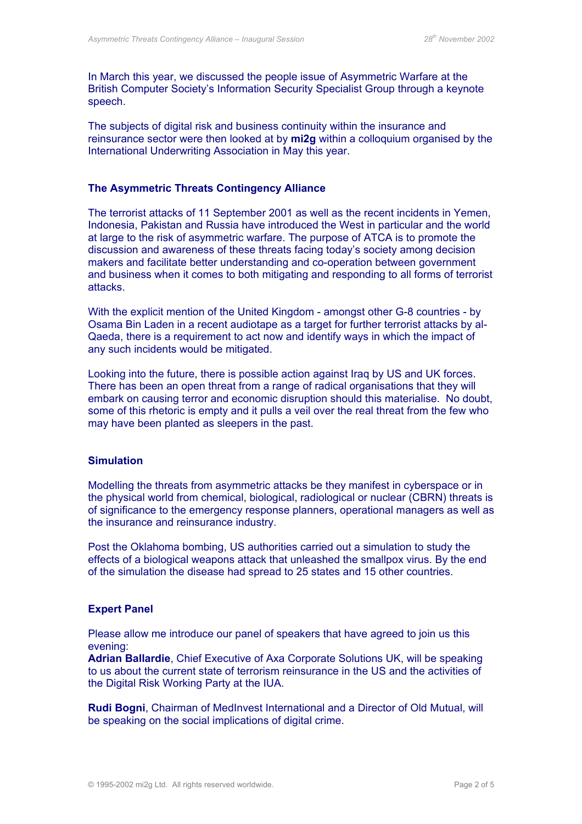In March this year, we discussed the people issue of Asymmetric Warfare at the British Computer Society's Information Security Specialist Group through a keynote speech.

The subjects of digital risk and business continuity within the insurance and reinsurance sector were then looked at by **mi2g** within a colloquium organised by the International Underwriting Association in May this year.

#### **The Asymmetric Threats Contingency Alliance**

The terrorist attacks of 11 September 2001 as well as the recent incidents in Yemen, Indonesia, Pakistan and Russia have introduced the West in particular and the world at large to the risk of asymmetric warfare. The purpose of ATCA is to promote the discussion and awareness of these threats facing today's society among decision makers and facilitate better understanding and co-operation between government and business when it comes to both mitigating and responding to all forms of terrorist attacks.

With the explicit mention of the United Kingdom - amongst other G-8 countries - by Osama Bin Laden in a recent audiotape as a target for further terrorist attacks by al-Qaeda, there is a requirement to act now and identify ways in which the impact of any such incidents would be mitigated.

Looking into the future, there is possible action against Iraq by US and UK forces. There has been an open threat from a range of radical organisations that they will embark on causing terror and economic disruption should this materialise. No doubt, some of this rhetoric is empty and it pulls a veil over the real threat from the few who may have been planted as sleepers in the past.

#### **Simulation**

Modelling the threats from asymmetric attacks be they manifest in cyberspace or in the physical world from chemical, biological, radiological or nuclear (CBRN) threats is of significance to the emergency response planners, operational managers as well as the insurance and reinsurance industry.

Post the Oklahoma bombing, US authorities carried out a simulation to study the effects of a biological weapons attack that unleashed the smallpox virus. By the end of the simulation the disease had spread to 25 states and 15 other countries.

#### **Expert Panel**

Please allow me introduce our panel of speakers that have agreed to join us this evening:

**Adrian Ballardie**, Chief Executive of Axa Corporate Solutions UK, will be speaking to us about the current state of terrorism reinsurance in the US and the activities of the Digital Risk Working Party at the IUA.

**Rudi Bogni**, Chairman of MedInvest International and a Director of Old Mutual, will be speaking on the social implications of digital crime.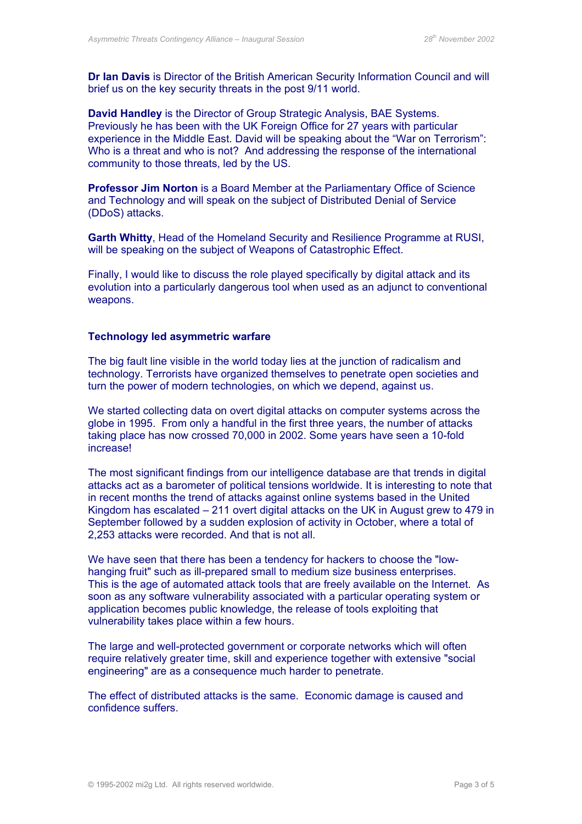**Dr Ian Davis** is Director of the British American Security Information Council and will brief us on the key security threats in the post 9/11 world.

**David Handley** is the Director of Group Strategic Analysis, BAE Systems. Previously he has been with the UK Foreign Office for 27 years with particular experience in the Middle East. David will be speaking about the "War on Terrorism": Who is a threat and who is not? And addressing the response of the international community to those threats, led by the US.

**Professor Jim Norton** is a Board Member at the Parliamentary Office of Science and Technology and will speak on the subject of Distributed Denial of Service (DDoS) attacks.

**Garth Whitty**, Head of the Homeland Security and Resilience Programme at RUSI, will be speaking on the subject of Weapons of Catastrophic Effect.

Finally, I would like to discuss the role played specifically by digital attack and its evolution into a particularly dangerous tool when used as an adjunct to conventional weapons.

#### **Technology led asymmetric warfare**

The big fault line visible in the world today lies at the junction of radicalism and technology. Terrorists have organized themselves to penetrate open societies and turn the power of modern technologies, on which we depend, against us.

We started collecting data on overt digital attacks on computer systems across the globe in 1995. From only a handful in the first three years, the number of attacks taking place has now crossed 70,000 in 2002. Some years have seen a 10-fold increase!

The most significant findings from our intelligence database are that trends in digital attacks act as a barometer of political tensions worldwide. It is interesting to note that in recent months the trend of attacks against online systems based in the United Kingdom has escalated – 211 overt digital attacks on the UK in August grew to 479 in September followed by a sudden explosion of activity in October, where a total of 2,253 attacks were recorded. And that is not all.

We have seen that there has been a tendency for hackers to choose the "lowhanging fruit" such as ill-prepared small to medium size business enterprises. This is the age of automated attack tools that are freely available on the Internet. As soon as any software vulnerability associated with a particular operating system or application becomes public knowledge, the release of tools exploiting that vulnerability takes place within a few hours.

The large and well-protected government or corporate networks which will often require relatively greater time, skill and experience together with extensive "social engineering" are as a consequence much harder to penetrate.

The effect of distributed attacks is the same. Economic damage is caused and confidence suffers.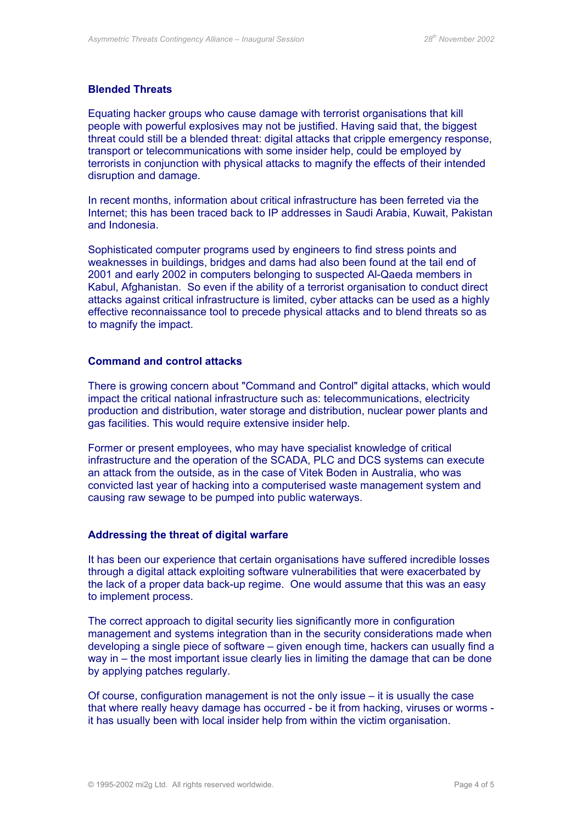### **Blended Threats**

Equating hacker groups who cause damage with terrorist organisations that kill people with powerful explosives may not be justified. Having said that, the biggest threat could still be a blended threat: digital attacks that cripple emergency response, transport or telecommunications with some insider help, could be employed by terrorists in conjunction with physical attacks to magnify the effects of their intended disruption and damage.

In recent months, information about critical infrastructure has been ferreted via the Internet; this has been traced back to IP addresses in Saudi Arabia, Kuwait, Pakistan and Indonesia.

Sophisticated computer programs used by engineers to find stress points and weaknesses in buildings, bridges and dams had also been found at the tail end of 2001 and early 2002 in computers belonging to suspected Al-Qaeda members in Kabul, Afghanistan. So even if the ability of a terrorist organisation to conduct direct attacks against critical infrastructure is limited, cyber attacks can be used as a highly effective reconnaissance tool to precede physical attacks and to blend threats so as to magnify the impact.

#### **Command and control attacks**

There is growing concern about "Command and Control" digital attacks, which would impact the critical national infrastructure such as: telecommunications, electricity production and distribution, water storage and distribution, nuclear power plants and gas facilities. This would require extensive insider help.

Former or present employees, who may have specialist knowledge of critical infrastructure and the operation of the SCADA, PLC and DCS systems can execute an attack from the outside, as in the case of Vitek Boden in Australia, who was convicted last year of hacking into a computerised waste management system and causing raw sewage to be pumped into public waterways.

### **Addressing the threat of digital warfare**

It has been our experience that certain organisations have suffered incredible losses through a digital attack exploiting software vulnerabilities that were exacerbated by the lack of a proper data back-up regime. One would assume that this was an easy to implement process.

The correct approach to digital security lies significantly more in configuration management and systems integration than in the security considerations made when developing a single piece of software – given enough time, hackers can usually find a way in – the most important issue clearly lies in limiting the damage that can be done by applying patches regularly.

Of course, configuration management is not the only issue – it is usually the case that where really heavy damage has occurred - be it from hacking, viruses or worms it has usually been with local insider help from within the victim organisation.